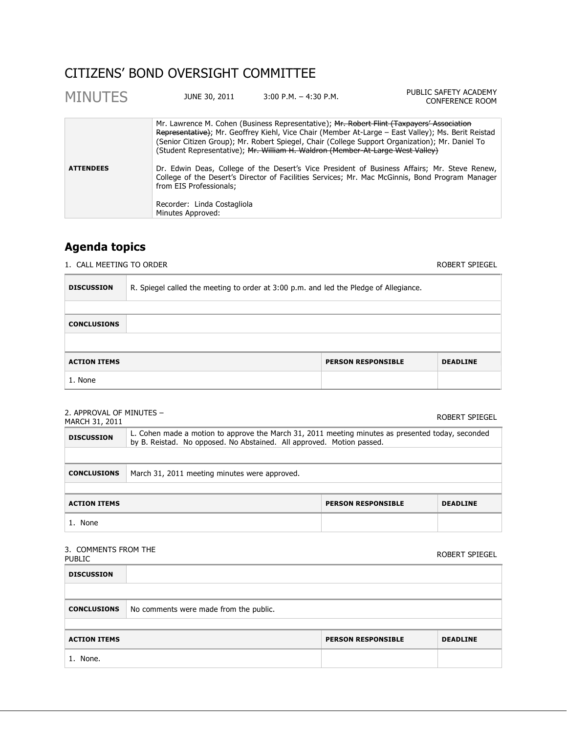# CITIZENS' BOND OVERSIGHT COMMITTEE

| <b>MINUTES</b>   | JUNE 30, 2011                                    | $3:00$ P.M. $-4:30$ P.M.                                                                                                                                                                                                                                                       | PUBLIC SAFETY ACADEMY<br>CONFERENCE ROOM                                                                                                                                                        |
|------------------|--------------------------------------------------|--------------------------------------------------------------------------------------------------------------------------------------------------------------------------------------------------------------------------------------------------------------------------------|-------------------------------------------------------------------------------------------------------------------------------------------------------------------------------------------------|
|                  |                                                  | Mr. Lawrence M. Cohen (Business Representative); Ar. Robert Flint (Taxpayers' Association<br>(Senior Citizen Group); Mr. Robert Spiegel, Chair (College Support Organization); Mr. Daniel To<br>(Student Representative); Mr. William H. Waldron (Member-At-Large West Valley) | Representative); Mr. Geoffrey Kiehl, Vice Chair (Member At-Large – East Valley); Ms. Berit Reistad                                                                                              |
| <b>ATTENDEES</b> | from EIS Professionals;                          |                                                                                                                                                                                                                                                                                | Dr. Edwin Deas, College of the Desert's Vice President of Business Affairs; Mr. Steve Renew,<br>College of the Desert's Director of Facilities Services; Mr. Mac McGinnis, Bond Program Manager |
|                  | Recorder: Linda Costagliola<br>Minutes Approved: |                                                                                                                                                                                                                                                                                |                                                                                                                                                                                                 |

# **Agenda topics**

1. CALL MEETING TO ORDER **ROBERT SPIEGEL** 

| <b>DISCUSSION</b>   | R. Spiegel called the meeting to order at 3:00 p.m. and led the Pledge of Allegiance. |                           |                 |
|---------------------|---------------------------------------------------------------------------------------|---------------------------|-----------------|
|                     |                                                                                       |                           |                 |
| <b>CONCLUSIONS</b>  |                                                                                       |                           |                 |
|                     |                                                                                       |                           |                 |
| <b>ACTION ITEMS</b> |                                                                                       | <b>PERSON RESPONSIBLE</b> | <b>DEADLINE</b> |
| 1. None             |                                                                                       |                           |                 |

## 2. APPROVAL OF MINUTES –

| 2. ALLIVO VAL OL FIINO I LJ<br>MARCH 31, 2011 |                                                                                                                                                                            |                           | ROBERT SPIEGEL  |
|-----------------------------------------------|----------------------------------------------------------------------------------------------------------------------------------------------------------------------------|---------------------------|-----------------|
| <b>DISCUSSION</b>                             | L. Cohen made a motion to approve the March 31, 2011 meeting minutes as presented today, seconded<br>by B. Reistad. No opposed. No Abstained. All approved. Motion passed. |                           |                 |
|                                               |                                                                                                                                                                            |                           |                 |
| <b>CONCLUSIONS</b>                            | March 31, 2011 meeting minutes were approved.                                                                                                                              |                           |                 |
|                                               |                                                                                                                                                                            |                           |                 |
| <b>ACTION ITEMS</b>                           |                                                                                                                                                                            | <b>PERSON RESPONSIBLE</b> | <b>DEADLINE</b> |
| 1. None                                       |                                                                                                                                                                            |                           |                 |

### 3. COMMENTS FROM THE

| <u>, comments</u> in the<br><b>PUBLIC</b> |                                        |                           | ROBERT SPIEGEL  |
|-------------------------------------------|----------------------------------------|---------------------------|-----------------|
| <b>DISCUSSION</b>                         |                                        |                           |                 |
|                                           |                                        |                           |                 |
| <b>CONCLUSIONS</b>                        | No comments were made from the public. |                           |                 |
|                                           |                                        |                           |                 |
| <b>ACTION ITEMS</b>                       |                                        | <b>PERSON RESPONSIBLE</b> | <b>DEADLINE</b> |
| 1. None.                                  |                                        |                           |                 |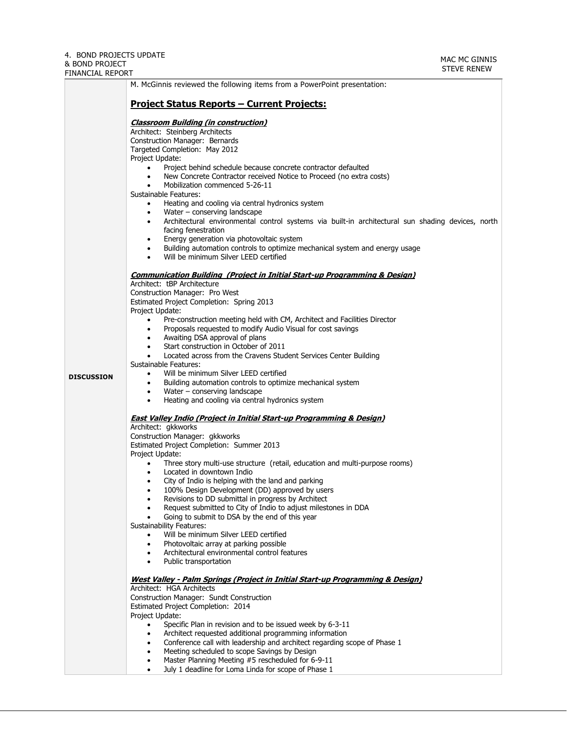|                   | M. McGinnis reviewed the following items from a PowerPoint presentation:                                                                                                                                                                                                                                                                                                                                                                                                                                                                                                                                                                                                                                                                                                  |  |  |  |
|-------------------|---------------------------------------------------------------------------------------------------------------------------------------------------------------------------------------------------------------------------------------------------------------------------------------------------------------------------------------------------------------------------------------------------------------------------------------------------------------------------------------------------------------------------------------------------------------------------------------------------------------------------------------------------------------------------------------------------------------------------------------------------------------------------|--|--|--|
|                   | <u> Project Status Reports – Current Projects:</u>                                                                                                                                                                                                                                                                                                                                                                                                                                                                                                                                                                                                                                                                                                                        |  |  |  |
|                   | <b>Classroom Building (in construction)</b><br>Architect: Steinberg Architects<br>Construction Manager: Bernards<br>Targeted Completion: May 2012<br>Project Update:<br>Project behind schedule because concrete contractor defaulted<br>$\bullet$<br>New Concrete Contractor received Notice to Proceed (no extra costs)<br>Mobilization commenced 5-26-11<br>Sustainable Features:<br>Heating and cooling via central hydronics system<br>Water - conserving landscape<br>Architectural environmental control systems via built-in architectural sun shading devices, north<br>facing fenestration<br>Energy generation via photovoltaic system<br>Building automation controls to optimize mechanical system and energy usage<br>Will be minimum Silver LEED certified |  |  |  |
|                   | Communication Building (Project in Initial Start-up Programming & Design)                                                                                                                                                                                                                                                                                                                                                                                                                                                                                                                                                                                                                                                                                                 |  |  |  |
|                   | Architect: tBP Architecture<br>Construction Manager: Pro West<br>Estimated Project Completion: Spring 2013                                                                                                                                                                                                                                                                                                                                                                                                                                                                                                                                                                                                                                                                |  |  |  |
|                   | Project Update:<br>Pre-construction meeting held with CM, Architect and Facilities Director<br>$\bullet$<br>Proposals requested to modify Audio Visual for cost savings<br>Awaiting DSA approval of plans<br>Start construction in October of 2011                                                                                                                                                                                                                                                                                                                                                                                                                                                                                                                        |  |  |  |
|                   | Located across from the Cravens Student Services Center Building                                                                                                                                                                                                                                                                                                                                                                                                                                                                                                                                                                                                                                                                                                          |  |  |  |
| <b>DISCUSSION</b> | Sustainable Features:<br>Will be minimum Silver LEED certified<br>Building automation controls to optimize mechanical system<br>Water $-$ conserving landscape<br>$\bullet$<br>Heating and cooling via central hydronics system                                                                                                                                                                                                                                                                                                                                                                                                                                                                                                                                           |  |  |  |
|                   | <b>East Valley Indio (Project in Initial Start-up Programming &amp; Design)</b>                                                                                                                                                                                                                                                                                                                                                                                                                                                                                                                                                                                                                                                                                           |  |  |  |
|                   | Architect: gkkworks                                                                                                                                                                                                                                                                                                                                                                                                                                                                                                                                                                                                                                                                                                                                                       |  |  |  |
|                   | Construction Manager: gkkworks<br>Estimated Project Completion: Summer 2013                                                                                                                                                                                                                                                                                                                                                                                                                                                                                                                                                                                                                                                                                               |  |  |  |
|                   | Project Update:                                                                                                                                                                                                                                                                                                                                                                                                                                                                                                                                                                                                                                                                                                                                                           |  |  |  |
|                   | Three story multi-use structure (retail, education and multi-purpose rooms)<br>$\bullet$<br>Located in downtown Indio                                                                                                                                                                                                                                                                                                                                                                                                                                                                                                                                                                                                                                                     |  |  |  |
|                   | City of Indio is helping with the land and parking<br>$\bullet$                                                                                                                                                                                                                                                                                                                                                                                                                                                                                                                                                                                                                                                                                                           |  |  |  |
|                   | 100% Design Development (DD) approved by users<br>Revisions to DD submittal in progress by Architect                                                                                                                                                                                                                                                                                                                                                                                                                                                                                                                                                                                                                                                                      |  |  |  |
|                   | Request submitted to City of Indio to adjust milestones in DDA                                                                                                                                                                                                                                                                                                                                                                                                                                                                                                                                                                                                                                                                                                            |  |  |  |
|                   | Going to submit to DSA by the end of this year<br><b>Sustainability Features:</b>                                                                                                                                                                                                                                                                                                                                                                                                                                                                                                                                                                                                                                                                                         |  |  |  |
|                   | Will be minimum Silver LEED certified                                                                                                                                                                                                                                                                                                                                                                                                                                                                                                                                                                                                                                                                                                                                     |  |  |  |
|                   | Photovoltaic array at parking possible<br>Architectural environmental control features                                                                                                                                                                                                                                                                                                                                                                                                                                                                                                                                                                                                                                                                                    |  |  |  |
|                   | Public transportation                                                                                                                                                                                                                                                                                                                                                                                                                                                                                                                                                                                                                                                                                                                                                     |  |  |  |
|                   | <u> West Valley - Palm Springs (Project in Initial Start-up Programming &amp; Design)</u>                                                                                                                                                                                                                                                                                                                                                                                                                                                                                                                                                                                                                                                                                 |  |  |  |
|                   | Architect: HGA Architects<br>Construction Manager: Sundt Construction                                                                                                                                                                                                                                                                                                                                                                                                                                                                                                                                                                                                                                                                                                     |  |  |  |
|                   | Estimated Project Completion: 2014                                                                                                                                                                                                                                                                                                                                                                                                                                                                                                                                                                                                                                                                                                                                        |  |  |  |
|                   | Project Update:<br>Specific Plan in revision and to be issued week by 6-3-11<br>$\bullet$                                                                                                                                                                                                                                                                                                                                                                                                                                                                                                                                                                                                                                                                                 |  |  |  |
|                   | Architect requested additional programming information                                                                                                                                                                                                                                                                                                                                                                                                                                                                                                                                                                                                                                                                                                                    |  |  |  |
|                   | Conference call with leadership and architect regarding scope of Phase 1<br>Meeting scheduled to scope Savings by Design                                                                                                                                                                                                                                                                                                                                                                                                                                                                                                                                                                                                                                                  |  |  |  |
|                   | Master Planning Meeting #5 rescheduled for 6-9-11<br>$\bullet$                                                                                                                                                                                                                                                                                                                                                                                                                                                                                                                                                                                                                                                                                                            |  |  |  |
|                   | July 1 deadline for Loma Linda for scope of Phase 1<br>$\bullet$                                                                                                                                                                                                                                                                                                                                                                                                                                                                                                                                                                                                                                                                                                          |  |  |  |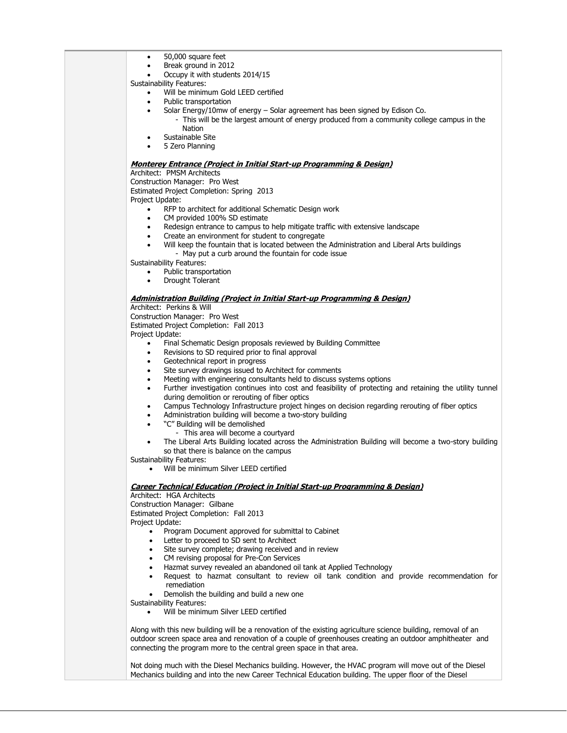- 50,000 square feet
- Break ground in 2012
- Occupy it with students 2014/15

Sustainability Features:

- Will be minimum Gold LEED certified
- Public transportation
- Solar Energy/10mw of energy Solar agreement has been signed by Edison Co.
	- This will be the largest amount of energy produced from a community college campus in the Nation
	- Sustainable Site
- 5 Zero Planning

#### **Monterey Entrance (Project in Initial Start-up Programming & Design)**

Architect: PMSM Architects

Construction Manager: Pro West Estimated Project Completion: Spring 2013

- Project Update:
	- RFP to architect for additional Schematic Design work
	- CM provided 100% SD estimate
	- Redesign entrance to campus to help mitigate traffic with extensive landscape
	- Create an environment for student to congregate
		- Will keep the fountain that is located between the Administration and Liberal Arts buildings - May put a curb around the fountain for code issue

Sustainability Features:

- Public transportation
	- Drought Tolerant

### **Administration Building (Project in Initial Start-up Programming & Design)**

#### Architect: Perkins & Will

Construction Manager: Pro West

Estimated Project Completion: Fall 2013

Project Update:

- Final Schematic Design proposals reviewed by Building Committee
- Revisions to SD required prior to final approval
- Geotechnical report in progress
- Site survey drawings issued to Architect for comments
- Meeting with engineering consultants held to discuss systems options
- Further investigation continues into cost and feasibility of protecting and retaining the utility tunnel during demolition or rerouting of fiber optics
- Campus Technology Infrastructure project hinges on decision regarding rerouting of fiber optics
- Administration building will become a two-story building
	- "C" Building will be demolished
	- This area will become a courtyard
- The Liberal Arts Building located across the Administration Building will become a two-story building so that there is balance on the campus

Sustainability Features:

Will be minimum Silver LEED certified

#### **Career Technical Education (Project in Initial Start-up Programming & Design)**

Architect: HGA Architects

Construction Manager: Gilbane

Estimated Project Completion: Fall 2013

Project Update:

- Program Document approved for submittal to Cabinet
- Letter to proceed to SD sent to Architect
- Site survey complete; drawing received and in review
- CM revising proposal for Pre-Con Services
- Hazmat survey revealed an abandoned oil tank at Applied Technology
- Request to hazmat consultant to review oil tank condition and provide recommendation for remediation
- Demolish the building and build a new one
- Sustainability Features:
	- Will be minimum Silver LEED certified

Along with this new building will be a renovation of the existing agriculture science building, removal of an outdoor screen space area and renovation of a couple of greenhouses creating an outdoor amphitheater and connecting the program more to the central green space in that area.

Not doing much with the Diesel Mechanics building. However, the HVAC program will move out of the Diesel Mechanics building and into the new Career Technical Education building. The upper floor of the Diesel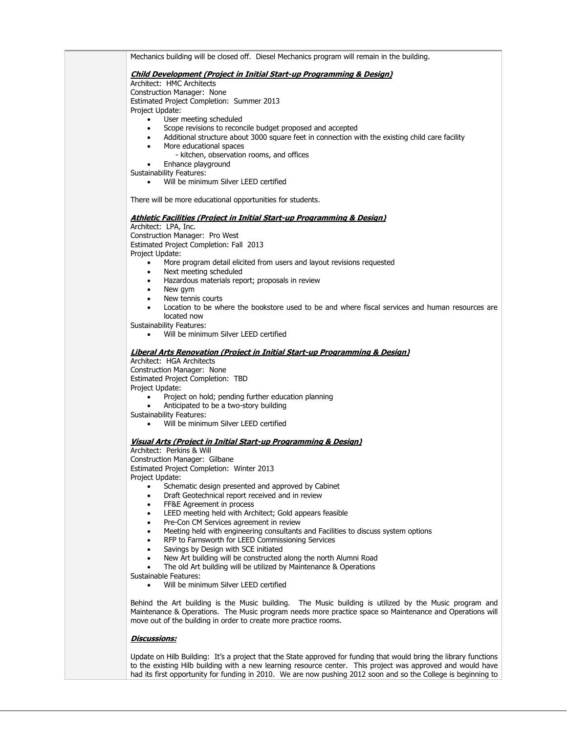Mechanics building will be closed off. Diesel Mechanics program will remain in the building. **Child Development (Project in Initial Start-up Programming & Design)** Architect: HMC Architects Construction Manager: None Estimated Project Completion: Summer 2013 Project Update: User meeting scheduled • Scope revisions to reconcile budget proposed and accepted Additional structure about 3000 square feet in connection with the existing child care facility • More educational spaces - kitchen, observation rooms, and offices • Enhance playground Sustainability Features: Will be minimum Silver LEED certified There will be more educational opportunities for students. **Athletic Facilities (Project in Initial Start-up Programming & Design)** Architect: LPA, Inc. Construction Manager: Pro West Estimated Project Completion: Fall 2013 Project Update: • More program detail elicited from users and layout revisions requested • Next meeting scheduled Hazardous materials report; proposals in review • New gym New tennis courts Location to be where the bookstore used to be and where fiscal services and human resources are located now Sustainability Features: Will be minimum Silver LEED certified **Liberal Arts Renovation (Project in Initial Start-up Programming & Design)** Architect: HGA Architects Construction Manager: None Estimated Project Completion: TBD Project Update: • Project on hold; pending further education planning • Anticipated to be a two-story building Sustainability Features: Will be minimum Silver LEED certified **Visual Arts (Project in Initial Start-up Programming & Design)** Architect: Perkins & Will Construction Manager: Gilbane Estimated Project Completion: Winter 2013 Project Update: Schematic design presented and approved by Cabinet • Draft Geotechnical report received and in review • FF&E Agreement in process LEED meeting held with Architect; Gold appears feasible • Pre-Con CM Services agreement in review Meeting held with engineering consultants and Facilities to discuss system options RFP to Farnsworth for LEED Commissioning Services Savings by Design with SCE initiated New Art building will be constructed along the north Alumni Road The old Art building will be utilized by Maintenance & Operations Sustainable Features: Will be minimum Silver LEED certified Behind the Art building is the Music building. The Music building is utilized by the Music program and Maintenance & Operations. The Music program needs more practice space so Maintenance and Operations will move out of the building in order to create more practice rooms. **Discussions:**

Update on Hilb Building: It's a project that the State approved for funding that would bring the library functions to the existing Hilb building with a new learning resource center. This project was approved and would have had its first opportunity for funding in 2010. We are now pushing 2012 soon and so the College is beginning to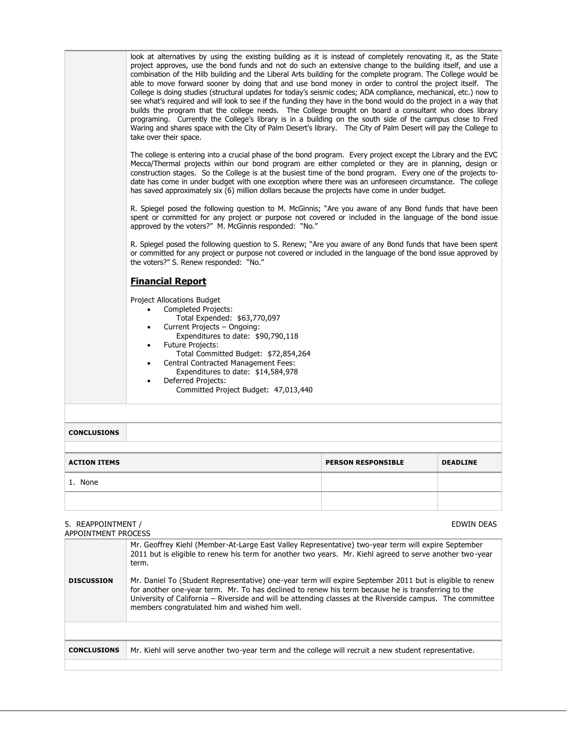| take over their space.<br>has saved approximately six (6) million dollars because the projects have come in under budget.<br>approved by the voters?" M. McGinnis responded: "No."<br>the voters?" S. Renew responded: "No."<br><b>Financial Report</b><br><b>Project Allocations Budget</b><br>Completed Projects:<br>$\bullet$<br>Total Expended: \$63,770,097<br>Current Projects - Ongoing:<br>Expenditures to date: \$90,790,118<br><b>Future Projects:</b><br>Total Committed Budget: \$72,854,264<br><b>Central Contracted Management Fees:</b><br>Expenditures to date: \$14,584,978<br>Deferred Projects:<br>Committed Project Budget: 47,013,440 | combination of the Hilb building and the Liberal Arts building for the complete program. The College would be<br>able to move forward sooner by doing that and use bond money in order to control the project itself. The<br>College is doing studies (structural updates for today's seismic codes; ADA compliance, mechanical, etc.) now to<br>see what's required and will look to see if the funding they have in the bond would do the project in a way that<br>builds the program that the college needs. The College brought on board a consultant who does library<br>programing. Currently the College's library is in a building on the south side of the campus close to Fred<br>Waring and shares space with the City of Palm Desert's library. The City of Palm Desert will pay the College to<br>The college is entering into a crucial phase of the bond program. Every project except the Library and the EVC<br>Mecca/Thermal projects within our bond program are either completed or they are in planning, design or<br>construction stages. So the College is at the busiest time of the bond program. Every one of the projects to-<br>date has come in under budget with one exception where there was an unforeseen circumstance. The college<br>R. Spiegel posed the following question to M. McGinnis; "Are you aware of any Bond funds that have been<br>spent or committed for any project or purpose not covered or included in the language of the bond issue<br>R. Spiegel posed the following question to S. Renew; "Are you aware of any Bond funds that have been spent<br>or committed for any project or purpose not covered or included in the language of the bond issue approved by |  |  |  |
|------------------------------------------------------------------------------------------------------------------------------------------------------------------------------------------------------------------------------------------------------------------------------------------------------------------------------------------------------------------------------------------------------------------------------------------------------------------------------------------------------------------------------------------------------------------------------------------------------------------------------------------------------------|---------------------------------------------------------------------------------------------------------------------------------------------------------------------------------------------------------------------------------------------------------------------------------------------------------------------------------------------------------------------------------------------------------------------------------------------------------------------------------------------------------------------------------------------------------------------------------------------------------------------------------------------------------------------------------------------------------------------------------------------------------------------------------------------------------------------------------------------------------------------------------------------------------------------------------------------------------------------------------------------------------------------------------------------------------------------------------------------------------------------------------------------------------------------------------------------------------------------------------------------------------------------------------------------------------------------------------------------------------------------------------------------------------------------------------------------------------------------------------------------------------------------------------------------------------------------------------------------------------------------------------------------------------------------------------------------------------------------------|--|--|--|
| <b>CONCLUSIONS</b>                                                                                                                                                                                                                                                                                                                                                                                                                                                                                                                                                                                                                                         |                                                                                                                                                                                                                                                                                                                                                                                                                                                                                                                                                                                                                                                                                                                                                                                                                                                                                                                                                                                                                                                                                                                                                                                                                                                                                                                                                                                                                                                                                                                                                                                                                                                                                                                           |  |  |  |
|                                                                                                                                                                                                                                                                                                                                                                                                                                                                                                                                                                                                                                                            |                                                                                                                                                                                                                                                                                                                                                                                                                                                                                                                                                                                                                                                                                                                                                                                                                                                                                                                                                                                                                                                                                                                                                                                                                                                                                                                                                                                                                                                                                                                                                                                                                                                                                                                           |  |  |  |
| <b>ACTION ITEMS</b><br><b>PERSON RESPONSIBLE</b><br><b>DEADLINE</b>                                                                                                                                                                                                                                                                                                                                                                                                                                                                                                                                                                                        |                                                                                                                                                                                                                                                                                                                                                                                                                                                                                                                                                                                                                                                                                                                                                                                                                                                                                                                                                                                                                                                                                                                                                                                                                                                                                                                                                                                                                                                                                                                                                                                                                                                                                                                           |  |  |  |
| 1. None                                                                                                                                                                                                                                                                                                                                                                                                                                                                                                                                                                                                                                                    |                                                                                                                                                                                                                                                                                                                                                                                                                                                                                                                                                                                                                                                                                                                                                                                                                                                                                                                                                                                                                                                                                                                                                                                                                                                                                                                                                                                                                                                                                                                                                                                                                                                                                                                           |  |  |  |
|                                                                                                                                                                                                                                                                                                                                                                                                                                                                                                                                                                                                                                                            |                                                                                                                                                                                                                                                                                                                                                                                                                                                                                                                                                                                                                                                                                                                                                                                                                                                                                                                                                                                                                                                                                                                                                                                                                                                                                                                                                                                                                                                                                                                                                                                                                                                                                                                           |  |  |  |

### 5. REAPPOINTMENT /

| APPOINTMENT PROCESS |                                                                                                                                                                                                                                                                                                                                                                                                                                                                                                                                                                                                           |
|---------------------|-----------------------------------------------------------------------------------------------------------------------------------------------------------------------------------------------------------------------------------------------------------------------------------------------------------------------------------------------------------------------------------------------------------------------------------------------------------------------------------------------------------------------------------------------------------------------------------------------------------|
| <b>DISCUSSION</b>   | Mr. Geoffrey Kiehl (Member-At-Large East Valley Representative) two-year term will expire September<br>2011 but is eligible to renew his term for another two years. Mr. Kiehl agreed to serve another two-year<br>term.<br>Mr. Daniel To (Student Representative) one-year term will expire September 2011 but is eligible to renew<br>for another one-year term. Mr. To has declined to renew his term because he is transferring to the<br>University of California - Riverside and will be attending classes at the Riverside campus. The committee<br>members congratulated him and wished him well. |
|                     |                                                                                                                                                                                                                                                                                                                                                                                                                                                                                                                                                                                                           |
| <b>CONCLUSIONS</b>  | Mr. Kiehl will serve another two-year term and the college will recruit a new student representative.                                                                                                                                                                                                                                                                                                                                                                                                                                                                                                     |
|                     |                                                                                                                                                                                                                                                                                                                                                                                                                                                                                                                                                                                                           |